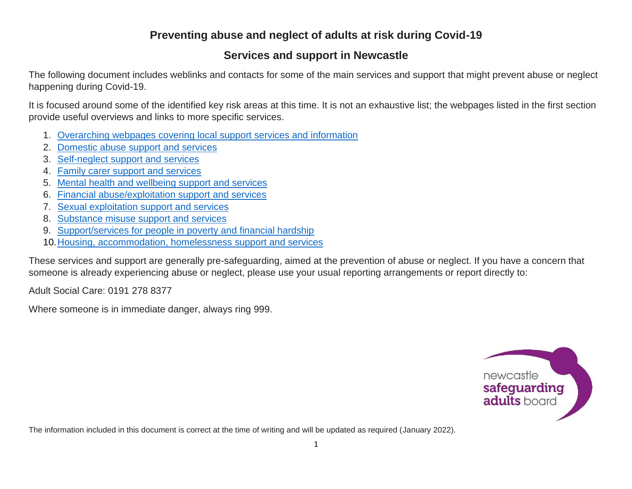#### **Preventing abuse and neglect of adults at risk during Covid-19**

#### **Services and support in Newcastle**

The following document includes weblinks and contacts for some of the main services and support that might prevent abuse or neglect happening during Covid-19.

It is focused around some of the identified key risk areas at this time. It is not an exhaustive list; the webpages listed in the first section provide useful overviews and links to more specific services.

- 1. [Overarching webpages covering local support services and information](#page-1-0)
- 2. [Domestic abuse support and services](#page-1-1)
- 3. [Self-neglect support and services](#page-2-0)
- 4. [Family carer support and services](#page-3-0)
- 5. [Mental health and wellbeing support and services](#page-4-0)
- 6. [Financial abuse/exploitation support and services](#page-4-1)
- 7. [Sexual exploitation support and services](#page-5-0)
- 8. [Substance misuse support and services](#page-6-0)
- 9. Support/services [for people in poverty and financial hardship](#page-6-1)
- 10[.Housing, accommodation, homelessness](#page-7-0) support and services

These services and support are generally pre-safeguarding, aimed at the prevention of abuse or neglect. If you have a concern that someone is already experiencing abuse or neglect, please use your usual reporting arrangements or report directly to:

Adult Social Care: 0191 278 8377

Where someone is in immediate danger, always ring 999.



The information included in this document is correct at the time of writing and will be updated as required (January 2022).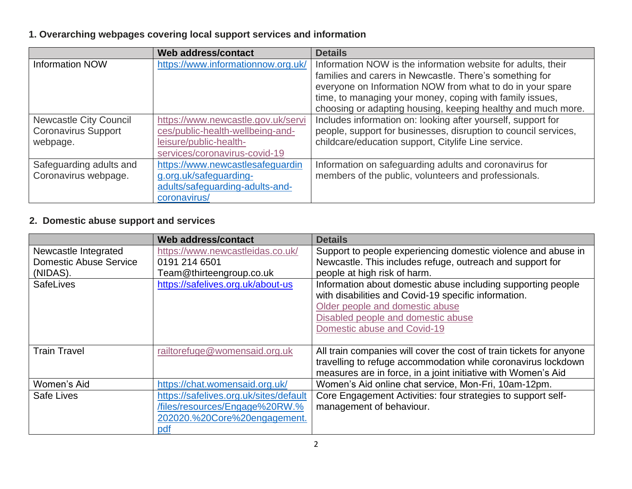# <span id="page-1-0"></span>**1. Overarching webpages covering local support services and information**

|                               | Web address/contact                | <b>Details</b>                                                  |
|-------------------------------|------------------------------------|-----------------------------------------------------------------|
| <b>Information NOW</b>        | https://www.informationnow.org.uk/ | Information NOW is the information website for adults, their    |
|                               |                                    | families and carers in Newcastle. There's something for         |
|                               |                                    | everyone on Information NOW from what to do in your spare       |
|                               |                                    | time, to managing your money, coping with family issues,        |
|                               |                                    | choosing or adapting housing, keeping healthy and much more.    |
| <b>Newcastle City Council</b> | https://www.newcastle.gov.uk/servi | Includes information on: looking after yourself, support for    |
| <b>Coronavirus Support</b>    | ces/public-health-wellbeing-and-   | people, support for businesses, disruption to council services, |
| webpage.                      | leisure/public-health-             | childcare/education support, Citylife Line service.             |
|                               | services/coronavirus-covid-19      |                                                                 |
| Safeguarding adults and       | https://www.newcastlesafeguardin   | Information on safeguarding adults and coronavirus for          |
| Coronavirus webpage.          | g.org.uk/safeguarding-             | members of the public, volunteers and professionals.            |
|                               | adults/safeguarding-adults-and-    |                                                                 |
|                               | coronavirus/                       |                                                                 |

#### <span id="page-1-1"></span>**2. Domestic abuse support and services**

|                               | <b>Web address/contact</b>             | <b>Details</b>                                                      |
|-------------------------------|----------------------------------------|---------------------------------------------------------------------|
| Newcastle Integrated          | https://www.newcastleidas.co.uk/       | Support to people experiencing domestic violence and abuse in       |
| <b>Domestic Abuse Service</b> | 0191 214 6501                          | Newcastle. This includes refuge, outreach and support for           |
| (NIDAS).                      | Team@thirteengroup.co.uk               | people at high risk of harm.                                        |
| <b>SafeLives</b>              | https://safelives.org.uk/about-us      | Information about domestic abuse including supporting people        |
|                               |                                        | with disabilities and Covid-19 specific information.                |
|                               |                                        | Older people and domestic abuse                                     |
|                               |                                        | Disabled people and domestic abuse                                  |
|                               |                                        | Domestic abuse and Covid-19                                         |
|                               |                                        |                                                                     |
| <b>Train Travel</b>           | railtorefuge@womensaid.org.uk          | All train companies will cover the cost of train tickets for anyone |
|                               |                                        | travelling to refuge accommodation while coronavirus lockdown       |
|                               |                                        | measures are in force, in a joint initiative with Women's Aid       |
| Women's Aid                   | https://chat.womensaid.org.uk/         | Women's Aid online chat service, Mon-Fri, 10am-12pm.                |
| Safe Lives                    | https://safelives.org.uk/sites/default | Core Engagement Activities: four strategies to support self-        |
|                               | /files/resources/Engage%20RW.%         | management of behaviour.                                            |
|                               | 202020.%20Core%20engagement.           |                                                                     |
|                               | pdf                                    |                                                                     |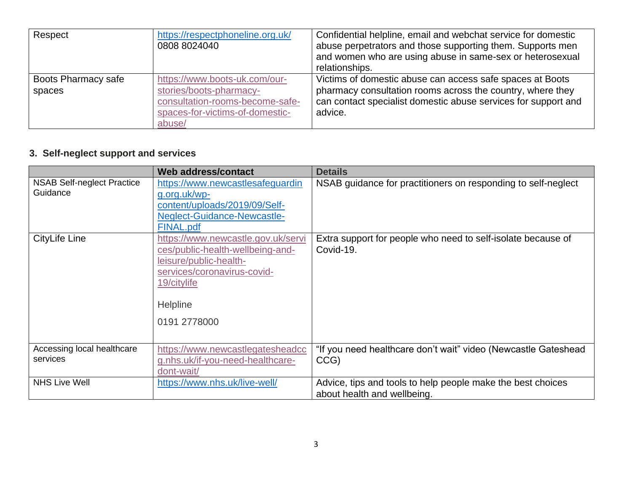| Respect             | https://respectphoneline.org.uk/ | Confidential helpline, email and webchat service for domestic  |
|---------------------|----------------------------------|----------------------------------------------------------------|
|                     | 0808 8024040                     | abuse perpetrators and those supporting them. Supports men     |
|                     |                                  | and women who are using abuse in same-sex or heterosexual      |
|                     |                                  | relationships.                                                 |
| Boots Pharmacy safe | https://www.boots-uk.com/our-    | Victims of domestic abuse can access safe spaces at Boots      |
| spaces              | stories/boots-pharmacy-          | pharmacy consultation rooms across the country, where they     |
|                     | consultation-rooms-become-safe-  | can contact specialist domestic abuse services for support and |
|                     | spaces-for-victims-of-domestic-  | advice.                                                        |
|                     | abuse/                           |                                                                |

# <span id="page-2-0"></span>**3. Self-neglect support and services**

|                                               | Web address/contact                                                                                                                                                        | <b>Details</b>                                                                             |
|-----------------------------------------------|----------------------------------------------------------------------------------------------------------------------------------------------------------------------------|--------------------------------------------------------------------------------------------|
| <b>NSAB Self-neglect Practice</b><br>Guidance | https://www.newcastlesafeguardin<br>g.org.uk/wp-<br>content/uploads/2019/09/Self-<br>Neglect-Guidance-Newcastle-<br>FINAL.pdf                                              | NSAB guidance for practitioners on responding to self-neglect                              |
| <b>CityLife Line</b>                          | https://www.newcastle.gov.uk/servi<br>ces/public-health-wellbeing-and-<br>leisure/public-health-<br>services/coronavirus-covid-<br>19/citylife<br>Helpline<br>0191 2778000 | Extra support for people who need to self-isolate because of<br>Covid-19.                  |
| Accessing local healthcare<br>services        | https://www.newcastlegatesheadcc<br>g.nhs.uk/if-you-need-healthcare-<br>dont-wait/                                                                                         | "If you need healthcare don't wait" video (Newcastle Gateshead<br>CCG)                     |
| <b>NHS Live Well</b>                          | https://www.nhs.uk/live-well/                                                                                                                                              | Advice, tips and tools to help people make the best choices<br>about health and wellbeing. |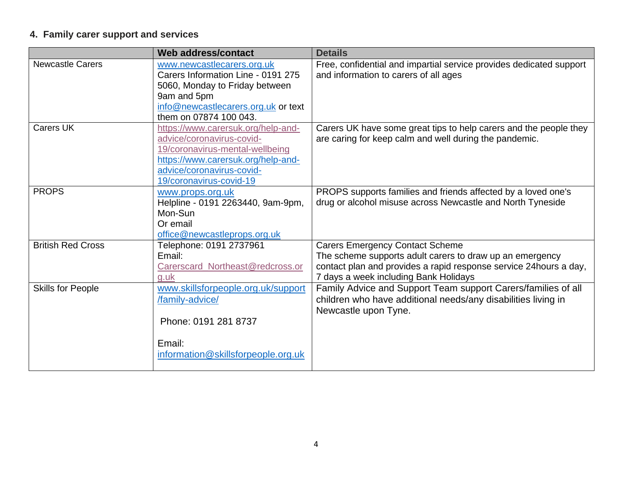# <span id="page-3-0"></span>**4. Family carer support and services**

|                          | Web address/contact                                                                                                                                                                              | <b>Details</b>                                                                                                                                                                                                   |
|--------------------------|--------------------------------------------------------------------------------------------------------------------------------------------------------------------------------------------------|------------------------------------------------------------------------------------------------------------------------------------------------------------------------------------------------------------------|
| <b>Newcastle Carers</b>  | www.newcastlecarers.org.uk<br>Carers Information Line - 0191 275<br>5060, Monday to Friday between<br>9am and 5pm<br>info@newcastlecarers.org.uk or text<br>them on 07874 100 043.               | Free, confidential and impartial service provides dedicated support<br>and information to carers of all ages                                                                                                     |
| <b>Carers UK</b>         | https://www.carersuk.org/help-and-<br>advice/coronavirus-covid-<br>19/coronavirus-mental-wellbeing<br>https://www.carersuk.org/help-and-<br>advice/coronavirus-covid-<br>19/coronavirus-covid-19 | Carers UK have some great tips to help carers and the people they<br>are caring for keep calm and well during the pandemic.                                                                                      |
| <b>PROPS</b>             | www.props.org.uk<br>Helpline - 0191 2263440, 9am-9pm,<br>Mon-Sun<br>Or email<br>office@newcastleprops.org.uk                                                                                     | PROPS supports families and friends affected by a loved one's<br>drug or alcohol misuse across Newcastle and North Tyneside                                                                                      |
| <b>British Red Cross</b> | Telephone: 0191 2737961<br>Email:<br>Carerscard_Northeast@redcross.or<br>g.uk                                                                                                                    | <b>Carers Emergency Contact Scheme</b><br>The scheme supports adult carers to draw up an emergency<br>contact plan and provides a rapid response service 24hours a day,<br>7 days a week including Bank Holidays |
| <b>Skills for People</b> | www.skillsforpeople.org.uk/support<br>/family-advice/<br>Phone: 0191 281 8737<br>Email:<br>information@skillsforpeople.org.uk                                                                    | Family Advice and Support Team support Carers/families of all<br>children who have additional needs/any disabilities living in<br>Newcastle upon Tyne.                                                           |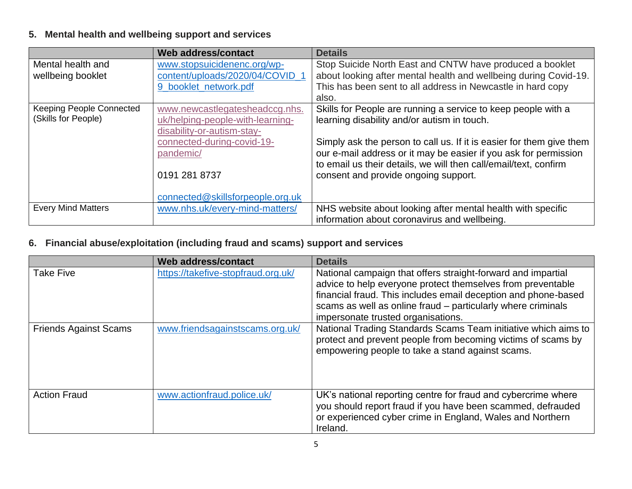# <span id="page-4-0"></span>**5. Mental health and wellbeing support and services**

|                                 | Web address/contact              | <b>Details</b>                                                       |
|---------------------------------|----------------------------------|----------------------------------------------------------------------|
| Mental health and               | www.stopsuicidenenc.org/wp-      | Stop Suicide North East and CNTW have produced a booklet             |
| wellbeing booklet               | content/uploads/2020/04/COVID 1  | about looking after mental health and wellbeing during Covid-19.     |
|                                 | 9 booklet network.pdf            | This has been sent to all address in Newcastle in hard copy          |
|                                 |                                  | also.                                                                |
| <b>Keeping People Connected</b> | www.newcastlegatesheadccg.nhs.   | Skills for People are running a service to keep people with a        |
| (Skills for People)             | uk/helping-people-with-learning- | learning disability and/or autism in touch.                          |
|                                 | disability-or-autism-stay-       |                                                                      |
|                                 | connected-during-covid-19-       | Simply ask the person to call us. If it is easier for them give them |
|                                 | pandemic/                        | our e-mail address or it may be easier if you ask for permission     |
|                                 |                                  | to email us their details, we will then call/email/text, confirm     |
|                                 | 0191 281 8737                    | consent and provide ongoing support.                                 |
|                                 |                                  |                                                                      |
|                                 | connected@skillsforpeople.org.uk |                                                                      |
| <b>Every Mind Matters</b>       | www.nhs.uk/every-mind-matters/   | NHS website about looking after mental health with specific          |
|                                 |                                  | information about coronavirus and wellbeing.                         |

#### <span id="page-4-1"></span>**6. Financial abuse/exploitation (including fraud and scams) support and services**

|                              | Web address/contact                | <b>Details</b>                                                                                                                                                                                                                                                                                      |
|------------------------------|------------------------------------|-----------------------------------------------------------------------------------------------------------------------------------------------------------------------------------------------------------------------------------------------------------------------------------------------------|
| <b>Take Five</b>             | https://takefive-stopfraud.org.uk/ | National campaign that offers straight-forward and impartial<br>advice to help everyone protect themselves from preventable<br>financial fraud. This includes email deception and phone-based<br>scams as well as online fraud - particularly where criminals<br>impersonate trusted organisations. |
| <b>Friends Against Scams</b> | www.friendsagainstscams.org.uk/    | National Trading Standards Scams Team initiative which aims to<br>protect and prevent people from becoming victims of scams by<br>empowering people to take a stand against scams.                                                                                                                  |
| <b>Action Fraud</b>          | www.actionfraud.police.uk/         | UK's national reporting centre for fraud and cybercrime where<br>you should report fraud if you have been scammed, defrauded<br>or experienced cyber crime in England, Wales and Northern<br>Ireland.                                                                                               |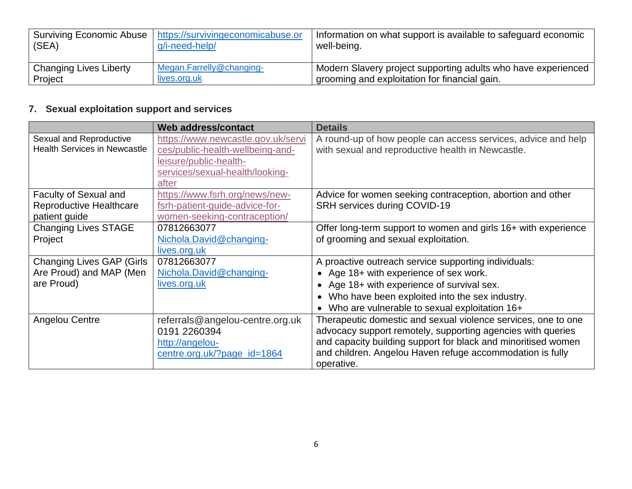| Surviving Economic Abuse | https://survivingeconomicabuse.or | Information on what support is available to safeguard economic |
|--------------------------|-----------------------------------|----------------------------------------------------------------|
| $ $ (SEA)                | g/i-need-help/                    | well-being.                                                    |
| Changing Lives Liberty   | Megan.Farrelly@changing-          | 'Modern Slavery project supporting adults who have experienced |
| Project                  | lives.org.uk                      | grooming and exploitation for financial gain.                  |

# <span id="page-5-0"></span>**7. Sexual exploitation support and services**

|                                     | Web address/contact                | <b>Details</b>                                                 |
|-------------------------------------|------------------------------------|----------------------------------------------------------------|
| Sexual and Reproductive             | https://www.newcastle.gov.uk/servi | A round-up of how people can access services, advice and help  |
| <b>Health Services in Newcastle</b> | ces/public-health-wellbeing-and-   | with sexual and reproductive health in Newcastle.              |
|                                     | leisure/public-health-             |                                                                |
|                                     | services/sexual-health/looking-    |                                                                |
|                                     | after                              |                                                                |
| <b>Faculty of Sexual and</b>        | https://www.fsrh.org/news/new-     | Advice for women seeking contraception, abortion and other     |
| Reproductive Healthcare             | fsrh-patient-guide-advice-for-     | SRH services during COVID-19                                   |
| patient guide                       | women-seeking-contraception/       |                                                                |
| <b>Changing Lives STAGE</b>         | 07812663077                        | Offer long-term support to women and girls 16+ with experience |
| Project                             | Nichola.David@changing-            | of grooming and sexual exploitation.                           |
|                                     | lives.org.uk                       |                                                                |
| <b>Changing Lives GAP (Girls</b>    | 07812663077                        | A proactive outreach service supporting individuals:           |
| Are Proud) and MAP (Men             | Nichola.David@changing-            | • Age 18+ with experience of sex work.                         |
| are Proud)                          | lives.org.uk                       | Age 18+ with experience of survival sex.                       |
|                                     |                                    | Who have been exploited into the sex industry.                 |
|                                     |                                    | Who are vulnerable to sexual exploitation 16+                  |
| Angelou Centre                      | referrals@angelou-centre.org.uk    | Therapeutic domestic and sexual violence services, one to one  |
|                                     | 0191 2260394                       | advocacy support remotely, supporting agencies with queries    |
|                                     | http://angelou-                    | and capacity building support for black and minoritised women  |
|                                     | centre.org.uk/?page_id=1864        | and children. Angelou Haven refuge accommodation is fully      |
|                                     |                                    | operative.                                                     |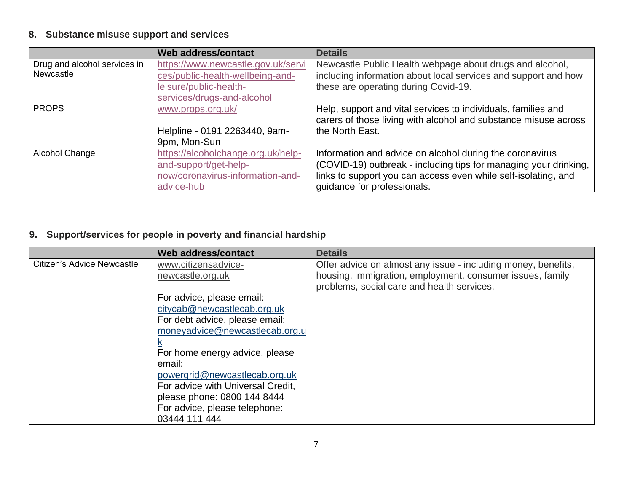# <span id="page-6-0"></span>**8. Substance misuse support and services**

|                              | Web address/contact                | <b>Details</b>                                                   |
|------------------------------|------------------------------------|------------------------------------------------------------------|
| Drug and alcohol services in | https://www.newcastle.gov.uk/servi | Newcastle Public Health webpage about drugs and alcohol,         |
| Newcastle                    | ces/public-health-wellbeing-and-   | including information about local services and support and how   |
|                              | leisure/public-health-             | these are operating during Covid-19.                             |
|                              | services/drugs-and-alcohol         |                                                                  |
| <b>PROPS</b>                 | www.props.org.uk/                  | Help, support and vital services to individuals, families and    |
|                              |                                    | carers of those living with alcohol and substance misuse across  |
|                              | Helpline - 0191 2263440, 9am-      | the North East.                                                  |
|                              | 9pm, Mon-Sun                       |                                                                  |
| Alcohol Change               | https://alcoholchange.org.uk/help- | Information and advice on alcohol during the coronavirus         |
|                              | and-support/get-help-              | (COVID-19) outbreak - including tips for managing your drinking, |
|                              | now/coronavirus-information-and-   | links to support you can access even while self-isolating, and   |
|                              | advice-hub                         | quidance for professionals.                                      |

#### <span id="page-6-1"></span>**9. Support/services for people in poverty and financial hardship**

|                            | <b>Web address/contact</b>        | <b>Details</b>                                                |
|----------------------------|-----------------------------------|---------------------------------------------------------------|
| Citizen's Advice Newcastle | www.citizensadvice-               | Offer advice on almost any issue - including money, benefits, |
|                            | newcastle.org.uk                  | housing, immigration, employment, consumer issues, family     |
|                            |                                   | problems, social care and health services.                    |
|                            | For advice, please email:         |                                                               |
|                            | citycab@newcastlecab.org.uk       |                                                               |
|                            | For debt advice, please email:    |                                                               |
|                            | moneyadvice@newcastlecab.org.u    |                                                               |
|                            |                                   |                                                               |
|                            | For home energy advice, please    |                                                               |
|                            | email:                            |                                                               |
|                            | powergrid@newcastlecab.org.uk     |                                                               |
|                            | For advice with Universal Credit, |                                                               |
|                            | please phone: 0800 144 8444       |                                                               |
|                            | For advice, please telephone:     |                                                               |
|                            | 03444 111 444                     |                                                               |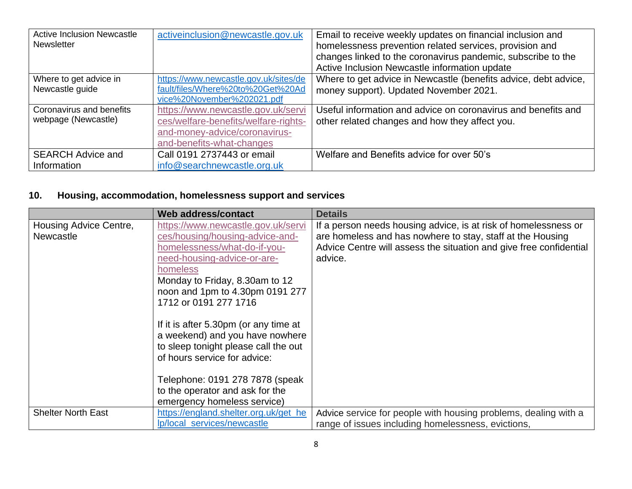| <b>Active Inclusion Newcastle</b> | activeinclusion@newcastle.gov.uk      | Email to receive weekly updates on financial inclusion and      |
|-----------------------------------|---------------------------------------|-----------------------------------------------------------------|
| <b>Newsletter</b>                 |                                       | homelessness prevention related services, provision and         |
|                                   |                                       | changes linked to the coronavirus pandemic, subscribe to the    |
|                                   |                                       | Active Inclusion Newcastle information update                   |
| Where to get advice in            | https://www.newcastle.gov.uk/sites/de | Where to get advice in Newcastle (benefits advice, debt advice, |
| Newcastle guide                   | fault/files/Where%20to%20Get%20Ad     | money support). Updated November 2021.                          |
|                                   | vice%20November%202021.pdf            |                                                                 |
| Coronavirus and benefits          | https://www.newcastle.gov.uk/servi    | Useful information and advice on coronavirus and benefits and   |
| webpage (Newcastle)               | ces/welfare-benefits/welfare-rights-  | other related changes and how they affect you.                  |
|                                   | and-money-advice/coronavirus-         |                                                                 |
|                                   | and-benefits-what-changes             |                                                                 |
| <b>SEARCH Advice and</b>          | Call 0191 2737443 or email            | Welfare and Benefits advice for over 50's                       |
| Information                       | info@searchnewcastle.org.uk           |                                                                 |

#### <span id="page-7-0"></span>**10. Housing, accommodation, homelessness support and services**

|                           | Web address/contact                   | <b>Details</b>                                                     |
|---------------------------|---------------------------------------|--------------------------------------------------------------------|
| Housing Advice Centre,    | https://www.newcastle.gov.uk/servi    | If a person needs housing advice, is at risk of homelessness or    |
| <b>Newcastle</b>          | ces/housing/housing-advice-and-       | are homeless and has nowhere to stay, staff at the Housing         |
|                           | homelessness/what-do-if-you-          | Advice Centre will assess the situation and give free confidential |
|                           | need-housing-advice-or-are-           | advice.                                                            |
|                           | homeless                              |                                                                    |
|                           | Monday to Friday, 8.30am to 12        |                                                                    |
|                           | noon and 1pm to 4.30pm 0191 277       |                                                                    |
|                           | 1712 or 0191 277 1716                 |                                                                    |
|                           |                                       |                                                                    |
|                           | If it is after 5.30pm (or any time at |                                                                    |
|                           | a weekend) and you have nowhere       |                                                                    |
|                           | to sleep tonight please call the out  |                                                                    |
|                           | of hours service for advice:          |                                                                    |
|                           |                                       |                                                                    |
|                           | Telephone: 0191 278 7878 (speak       |                                                                    |
|                           | to the operator and ask for the       |                                                                    |
|                           | emergency homeless service)           |                                                                    |
| <b>Shelter North East</b> | https://england.shelter.org.uk/get_he | Advice service for people with housing problems, dealing with a    |
|                           | <u>Ip/local services/newcastle</u>    | range of issues including homelessness, evictions,                 |